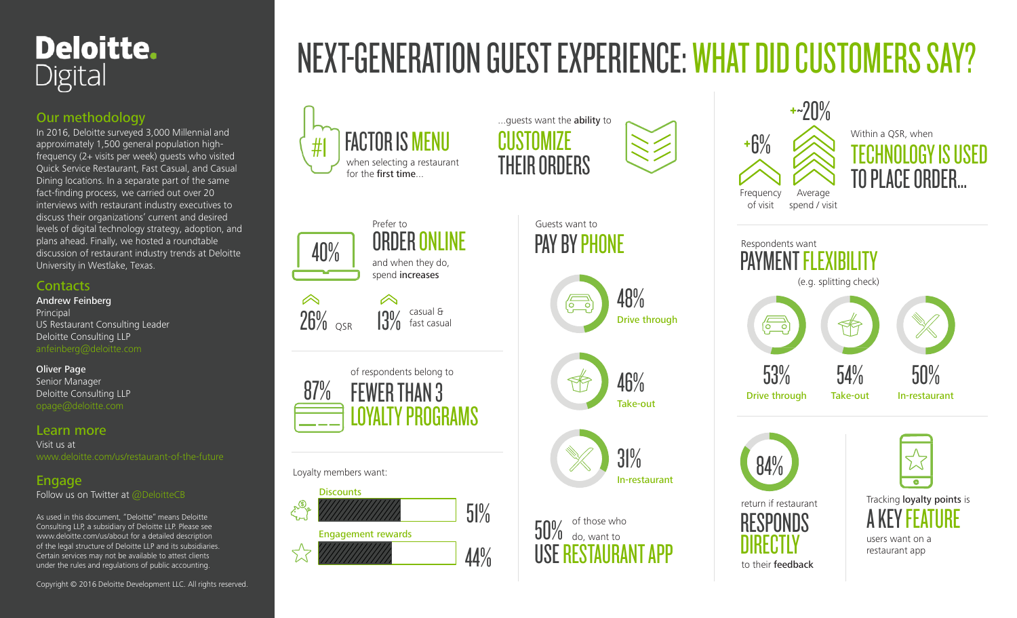

#### Our methodology

In 2016, Deloitte surveyed 3,000 Millennial and approximately 1,500 general population highfrequency (2+ visits per week) guests who visited Quick Service Restaurant, Fast Casual, and Casual Dining locations. In a separate part of the same fact-finding process, we carried out over 20 interviews with restaurant industry executives to discuss their organizations' current and desired levels of digital technology strategy, adoption, and plans ahead. Finally, we hosted a roundtable discussion of restaurant industry trends at Deloitte University in Westlake, Texas.

#### **Contacts**

Andrew Feinberg Principal US Restaurant Consulting Leader Deloitte Consulting LLP anfeinberg@deloitte.com

#### Oliver Page

Senior Manager Deloitte Consulting LLP opage@deloitte.com

#### Learn more

Visit us at www.deloitte.com/us/restaurant-of-the-future

#### Engage

Follow us on Twitter at @DeloitteCB

As used in this document, "Deloitte" means Deloitte Consulting LLP, a subsidiary of Deloitte LLP. Please see www.deloitte.com/us/about for a detailed description of the legal structure of Deloitte LLP and its subsidiaries. Certain services may not be available to attest clients under the rules and regulations of public accounting.

Copyright © 2016 Deloitte Development LLC. All rights reserved.

# NEXT-GENERATION GUEST EXPERIENCE: WHAT DID CUSTOMERS SAY?

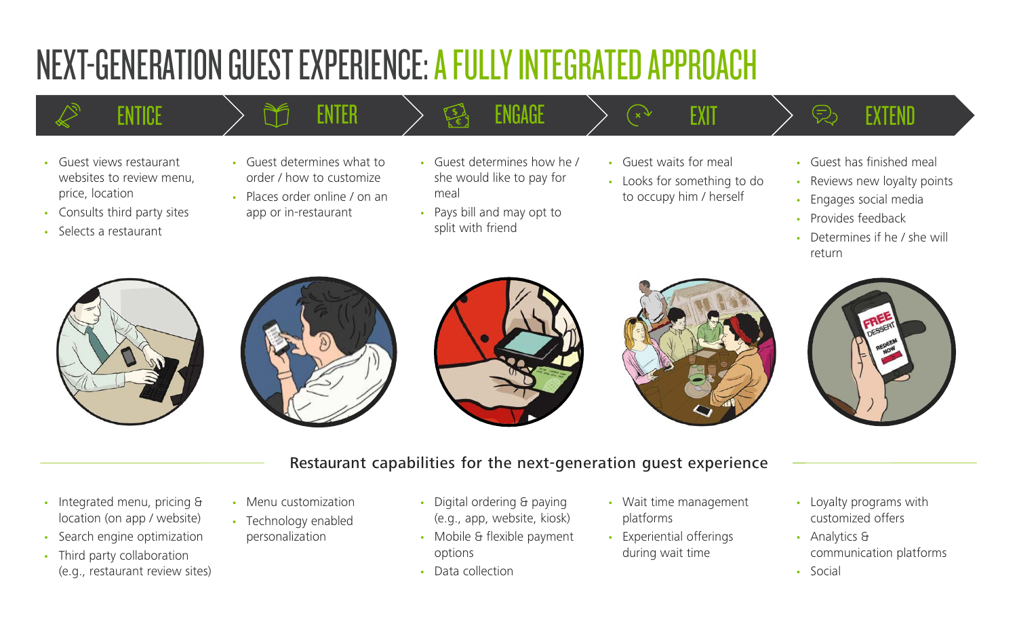# NEXT-GENERATION GUEST EXPERIENCE: A FULLY INTEGRATED APPROACH

- Guest views restaurant websites to review menu, price, location
- Consults third party sites
- Selects a restaurant
- Guest determines what to order / how to customize
- Places order online / on an app or in-restaurant
- Guest determines how he / she would like to pay for meal
- Pays bill and may opt to split with friend
- Guest waits for meal
- Looks for something to do to occupy him / herself
- ${\sf ENTICE}$   $\begin{array}{lcl} & \to & \cong & \oplus & \oplus \end{array}$  angage  $\begin{array}{lcl} & \searrow & \otimes & \oplus & \oplus & \oplus & \oplus \end{array}$ 
	- Guest has finished meal
	- Reviews new loyalty points
	- Engages social media
	- Provides feedback
	- Determines if he / she will return











#### Restaurant capabilities for the next-generation guest experience

- Integrated menu, pricing & location (on app / website)
- Search engine optimization
- Third party collaboration (e.g., restaurant review sites)
- Menu customization
- Technology enabled personalization
- Digital ordering & paying (e.g., app, website, kiosk)
- Mobile & flexible payment options
- Data collection
- Wait time management platforms
- Experiential offerings during wait time
- Loyalty programs with customized offers
- Analytics & communication platforms
- Social